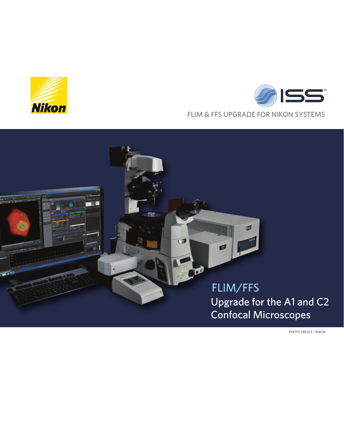





PHOTO CREDIT / NIKON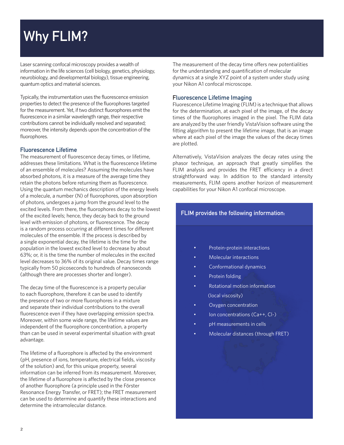# Why FLIM?

Laser scanning confocal microscopy provides a wealth of information in the life sciences (cell biology, genetics, physiology, neurobiology, and developmental biology), tissue engineering, quantum optics and material sciences.

Typically, the instrumentation uses the fluorescence emission properties to detect the presence of the fluorophores targeted for the measurement. Yet, if two distinct fluorophores emit the fluorescence in a similar wavelength range, their respective contributions cannot be individually resolved and separated; moreover, the intensity depends upon the concentration of the fluorophores.

#### Fluorescence Lifetime

The measurement of fluorescence decay times, or lifetime, addresses these limitations. What is the fluorescence lifetime of an ensemble of molecules? Assuming the molecules have absorbed photons, it is a measure of the average time they retain the photons before returning them as fluorescence. Using the quantum mechanics description of the energy levels of a molecule, a number (N) of fluorophores, upon absorption of photons, undergoes a jump from the ground level to the excited levels. From there, the fluorophores decay to the lowest of the excited levels; hence, they decay back to the ground level with emission of photons, or fluorescence. The decay is a random process occurring at different times for different molecules of the ensemble. If the process is described by a single exponential decay, the lifetime is the time for the population in the lowest excited level to decrease by about 63%; or, it is the time the number of molecules in the excited level decreases to 36% of its original value. Decay times range typically from 50 picoseconds to hundreds of nanoseconds (although there are processes shorter and longer).

The decay time of the fluorescence is a property peculiar to each fluorophore, therefore it can be used to identify the presence of two or more fluorophores in a mixture and separate their individual contributions to the overall fluorescence even if they have overlapping emission spectra. Moreover, within some wide range, the lifetime values are independent of the fluorophore concentration, a property than can be used in several experimental situation with great advantage.

The lifetime of a fluorophore is affected by the environment (pH, presence of ions, temperature, electrical fields, viscosity of the solution) and, for this unique property, several information can be inferred from its measurement. Moreover, the lifetime of a fluorophore is affected by the close presence of another fluorophore (a principle used in the Förster Resonance Energy Transfer, or FRET); the FRET measurement can be used to determine and quantify these interactions and determine the intramolecular distance.

The measurement of the decay time offers new potentialities for the understanding and quantification of molecular dynamics at a single XYZ point of a system under study using your Nikon A1 confocal microscope.

#### Fluorescence Lifetime Imaging

Fluorescence Lifetime Imaging (FLIM) is a technique that allows for the determination, at each pixel of the image, of the decay times of the fluorophores imaged in the pixel. The FLIM data are analyzed by the user friendly VistaVision software using the fitting algorithm to present the lifetime image, that is an image where at each pixel of the image the values of the decay times are plotted.

Alternatively, VistaVision analyzes the decay rates using the phasor technique, an approach that greatly simplifies the FLIM analysis and provides the FRET efficiency in a direct straightforward way. In addition to the standard intensity measurements, FLIM opens another horizon of measurement capabilities for your Nikon A1 confocal microscope.

### FLIM provides the following information:

- Protein-protein interactions
- Molecular interactions
- Conformational dynamics
- Protein folding
- Rotational motion information (local viscosity)
- Oxygen concentration
- Ion concentrations (Ca++, Cl-)
- pH measurements in cells
- Molecular distances (through FRET)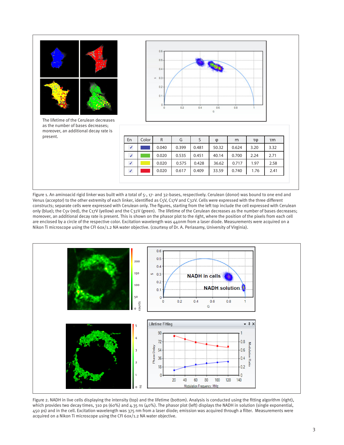| The lifetime of the Cerulean decreases                                                 |               |       | $0.6 -$<br>$0.5 -$<br>0.4<br>$m = 0.3$<br>$0.2 -$<br>0.1<br>$\Omega$ | 0.2   | 0.4   | 0.6<br>G | 0.8   |      |      |
|----------------------------------------------------------------------------------------|---------------|-------|----------------------------------------------------------------------|-------|-------|----------|-------|------|------|
| as the number of bases decreases;<br>moreover, an additional decay rate is<br>present. | En            | Color | R                                                                    | G     | S     | φ        | m     | τφ   | τm   |
|                                                                                        | J             |       | 0.040                                                                | 0.399 | 0.481 | 50.32    | 0.624 | 3.20 | 3.32 |
|                                                                                        | J             |       | 0.020                                                                | 0.535 | 0.451 | 40.14    | 0.700 | 2.24 | 2.71 |
|                                                                                        | J             |       | 0.020                                                                | 0.575 | 0.428 | 36.62    | 0.717 | 1.97 | 2.58 |
|                                                                                        | $\mathcal{J}$ |       | 0.020                                                                | 0.617 | 0.409 | 33.59    | 0.740 | 1.76 | 2.41 |

Venus (acceptor) to the other extremity of each linker, identified as C5V, C17V and C32V. Cells were expressed with the three different constructs; separate cells were expressed with Cerulean only. The figures, starting from the left top include the cell expressed with Cerulean only (blue); the C5v (red), the C17V (yellow) and the C32V (green). The lifetime of the Cerulean decreases as the number of bases decreases; moreover, an additional decay rate is present. This is shown on the phasor plot to the right, where the position of the pixels from each cell are enclosed by a circle of the respective color. Excitation wavelength was 440nm from a laser diode. Measurements were acquired on a Nikon Ti microscope using the CFI 60x/1.2 NA water objective. (courtesy of Dr. A. Periasamy, University of Virginia).



Figure 2. NADH in live cells displaying the intensity (top) and the lifetime (bottom). Analysis is conducted using the fitting algorithm (right), which provides two decay times, 310 ps (60%) and 4.35 ns (40%). The phasor plot (left) displays the NADH in solution (single exponential, 450 ps) and in the cell. Excitation wavelength was 375 nm from a laser diode; emission was acquired through a filter. Measurements were acquired on a Nikon Ti microscope using the CFI 60x/1.2 NA water objective.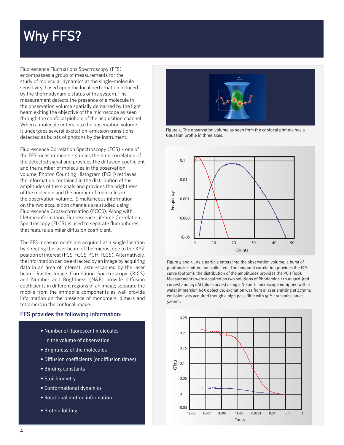# Why FFS?

Fluorescence Fluctuations Spectroscopy (FFS) encompasses a group of measurements for the study of molecular dynamics at the single-molecule sensitivity, based upon the local perturbation induced by the thermodynamic status of the system. The measurement detects the presence of a molecule in the observation volume spatially demarked by the light beam exiting the objective of the microscope as seen through the confocal pinhole of the acquisition channel. When a molecule enters into the observation volume it undergoes several excitation-emission transitions, detected as bursts of photons by the instrument.

Fluorescence Correlation Spectroscopy (FCS) – one of the FFS measurements - studies the time correlation of the detected signal and provides the diffusion coefficient and the number of molecules in the observation volume; Photon Counting Histogram (PCH) retrieves the information contained in the distribution of the amplitudes of the signals and provides the brightness of the molecule and the number of molecules in the observation volume. Simultaneous information on the two acquisition channels are studied using Fluorescence Cross-correlation (FCCS). Along with lifetime information, Fluorescence Lifetime Correlation Spectroscopy (FLCS) is used to separate fluorophores that feature a similar diffusion coefficient.

The FFS measurements are acquired at a single location by directing the laser beam of the microscope to the XYZ position of interest (FCS, FCCS, PCH, FLCS). Alternatively, the information can be extracted by an image by acquiring data in an area of interest raster-scanned by the laser beam: Raster Image Correlation Spectroscopy (RICS) and Number and Brightness (N&B) provide diffusion coefficients in different regions of an image; separate the mobile from the immobile components as well provide information on the presence of monomers, dimers and tetramers in the confocal image.

#### FFS provides the following information:

- Number of fluorescent molecules
	- in the volume of observation
- Brightness of the molecules
- Diffusion coefficients (or diffusion times)
- Binding constants
- Stoichiometry
- Conformational dynamics
- Rotational motion information
- Protein folding



Figure 3. The observation volume as seen from the confocal pinhole has a Gaussian profile in three axes.



Figure 4 and 5 . As a particle enters into the observation volume, a burst of photons is emitted and collected. The temporal correlation provides the FCS curve (bottom); the distribution of the amplitudes provides the PCH (top). Measurements were acquired on two solutions of Rhodamine 110 at 3nM (red curves) and 24 nM (blue curves) using a Nikon Ti microscope equipped with a water immersion 60X objective; excitation was from a laser emitting at 473nm; emission was acquired though a high pass filter with 50% transmission at 520nm.

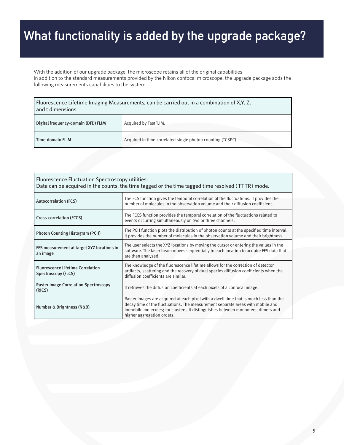# What functionality is added by the upgrade package?

With the addition of our upgrade package, the microscope retains all of the original capabilities. In addition to the standard measurements provided by the Nikon confocal microscope, the upgrade package adds the following measurements capabilities to the system:

| Fluorescence Lifetime Imaging Measurements, can be carried out in a combination of X,Y, Z,<br>and t dimensions. |                                                             |  |  |
|-----------------------------------------------------------------------------------------------------------------|-------------------------------------------------------------|--|--|
| Digital frequency-domain (DFD) FLIM                                                                             | Acquired by FastFLIM.                                       |  |  |
| Time-domain FLIM                                                                                                | Acquired in time-correlated single photon counting (TCSPC). |  |  |

| Fluorescence Fluctuation Spectroscopy utilities:<br>Data can be acquired in the counts, the time tagged or the time tagged time resolved (TTTR) mode. |                                                                                                                                                                                                                                                                                          |  |  |  |
|-------------------------------------------------------------------------------------------------------------------------------------------------------|------------------------------------------------------------------------------------------------------------------------------------------------------------------------------------------------------------------------------------------------------------------------------------------|--|--|--|
| <b>Autocorrelation (FCS)</b>                                                                                                                          | The FCS function gives the temporal correlation of the fluctuations. It provides the<br>number of molecules in the observation volume and their diffusion coefficient.                                                                                                                   |  |  |  |
| Cross-correlation (FCCS)                                                                                                                              | The FCCS function provides the temporal correlation of the fluctuations related to<br>events occurring simultaneously on two or three channels.                                                                                                                                          |  |  |  |
| <b>Photon Counting Histogram (PCH)</b>                                                                                                                | The PCH function plots the distribution of photon counts at the specified time interval.<br>It provides the number of molecules in the observation volume and their brightness.                                                                                                          |  |  |  |
| FFS measurement at target XYZ locations in<br>an image                                                                                                | The user selects the XYZ locations by moving the cursor or entering the values in the<br>software. The laser beam moves sequentially to each location to acquire FFS data that<br>are then analyzed.                                                                                     |  |  |  |
| <b>Fluorescence Lifetime Correlation</b><br>Spectroscopy (FLCS)                                                                                       | The knowledge of the fluorescence lifetime allows for the correction of detector<br>artifacts, scattering and the recovery of dual species diffusion coefficients when the<br>diffusion coefficients are similar.                                                                        |  |  |  |
| <b>Raster Image Correlation Spectroscopy</b><br>(RICS)                                                                                                | It retrieves the diffusion coefficients at each pixels of a confocal image.                                                                                                                                                                                                              |  |  |  |
| Number & Brightness (N&B)                                                                                                                             | Raster images are acquired at each pixel with a dwell time that is much less than the<br>decay time of the fluctuations. The measurement separate areas with mobile and<br>immobile molecules; for clusters, it distinguishes between monomers, dimers and<br>higher aggregation orders. |  |  |  |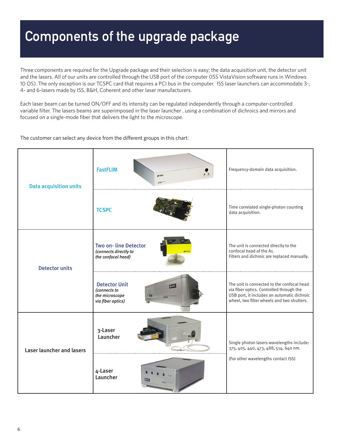# Components of the upgrade package

Three components are required for the Upgrade package and their selection is easy; the data acquisition unit, the detector unit and the lasers. All of our units are controlled through the USB port of the computer (ISS VistaVision software runs in Windows 10 OS). The only exception is our TCSPC card that requires a PCI bus in the computer. ISS laser launchers can accommodate 3-, 4- and 6-lasers made by ISS, B&H, Coherent and other laser manufacturers.

Each laser beam can be turned ON/OFF and its intensity can be regulated independently through a computer-controlled variable filter. The lasers beams are superimposed in the laser launcher , using a combination of dichroics and mirrors and focused on a single-mode fiber that delivers the light to the microscope.

#### The customer can select any device from the different groups in this chart:

| <b>Data acquisition units</b>    | <b>FastFLIM</b><br>$\circ$<br>$g$ iss<br>A320                                               | Frequency-domain data acquisition.                                                                                                                                                  |
|----------------------------------|---------------------------------------------------------------------------------------------|-------------------------------------------------------------------------------------------------------------------------------------------------------------------------------------|
|                                  | <b>TCSPC</b>                                                                                | Time correlated single-photon counting<br>data acquisition.                                                                                                                         |
| <b>Detector units</b>            | Two on-line Detector<br>(connects directly to<br>the confocal head)                         | The unit is connected directly to the<br>confocal head of the A1.<br>Filters and dichroic are replaced manually.                                                                    |
|                                  | <b>Detector Unit</b><br>0155<br>(connects to<br>the microscope<br>A240<br>via fiber optics) | The unit is connected to the confocal head<br>via fiber optics. Controlled through the<br>USB port, it includes an automatic dichroic<br>wheel, two filter wheels and two shutters. |
| <b>Laser launcher and lasers</b> | 3-Laser<br>Launcher                                                                         | Single photon lasers wavelengths include:<br>375, 405, 440, 473, 488, 514, 640 nm.                                                                                                  |
|                                  | 4-Laser<br>Launcher                                                                         | (For other wavelengths contact ISS)                                                                                                                                                 |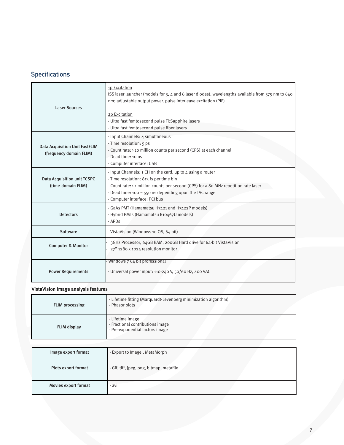# **Specifications**

| <b>Laser Sources</b>                                             | 1p Excitation<br>ISS laser launcher (models for 3, 4 and 6 laser diodes), wavelengths available from 375 nm to 640<br>nm; adjustable output power. pulse interleave excitation (PIE)<br>2p Excitation<br>- Ultra fast femtosecond pulse Ti:Sapphire lasers<br>- Ultra fast femtosecond pulse fiber lasers |
|------------------------------------------------------------------|-----------------------------------------------------------------------------------------------------------------------------------------------------------------------------------------------------------------------------------------------------------------------------------------------------------|
| <b>Data Acquisition Unit FastFLIM</b><br>(frequency domain FLIM) | - Input Channels: 4 simultaneous<br>- Time resolution: 5 ps<br>- Count rate: > 10 million counts per second (CPS) at each channel<br>- Dead time: 10 ns<br>- Computer interface: USB                                                                                                                      |
| <b>Data Acquisition unit TCSPC</b><br>(time-domain FLIM)         | - Input Channels: 1 CH on the card, up to 4 using a router<br>- Time resolution: 813 fs per time bin<br>- Count rate: < 1 million counts per second (CPS) for a 80 MHz repetition rate laser<br>- Dead time: 100 $\sim$ 550 ns depending upon the TAC range<br>- Computer interface: PCI bus              |
| <b>Detectors</b>                                                 | - GaAs PMT (Hamamatsu H7421 and H7422P models)<br>- Hybrid PMTs (Hamamatsu R10467U models)<br>- APD <sub>S</sub>                                                                                                                                                                                          |
| Software                                                         | - VistaVision (Windows 10 OS, 64 bit)                                                                                                                                                                                                                                                                     |
| <b>Computer &amp; Monitor</b>                                    | 3GHz Processor, 64GB RAM, 200GB Hard drive for 64-bit VistaVision<br>27" 1280 x 1024 resolution monitor                                                                                                                                                                                                   |
| <b>Power Requirements</b>                                        | Windows 7 64 bit professional<br>- Universal power input: 110-240 V, 50/60 Hz, 400 VAC                                                                                                                                                                                                                    |

### VistaVision Image analysis features

| <b>FLIM</b> processing | - Lifetime fitting (Marquardt-Levenberg minimization algorithm)<br>- Phasor plots       |
|------------------------|-----------------------------------------------------------------------------------------|
| FLIM display           | - Lifetime image<br>- Fractional contributions image<br>- Pre-exponential factors image |

| Image export format  | - Export to ImageJ, MetaMorph            |
|----------------------|------------------------------------------|
| Plots export format  | - Gif, tiff, jpeg, png, bitmap, metafile |
| Movies export format | - avi                                    |